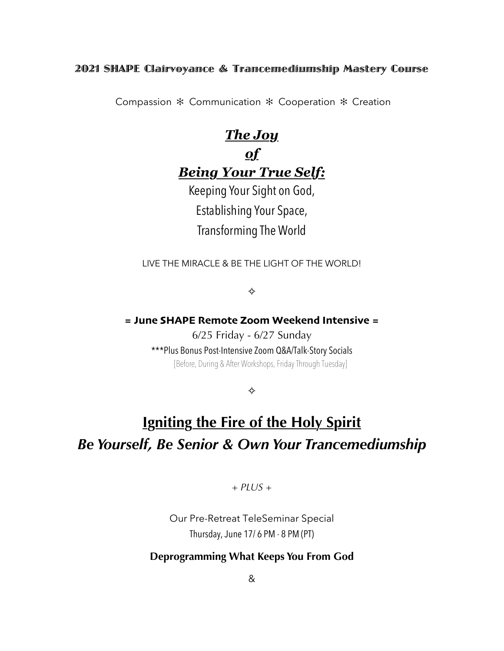### 2021 SHAPE Clairvoyance & Trancemediumship Mastery Course

Compassion ✻ Communication ✻ Cooperation ✻ Creation

## *The Joy*

## *of Being Your True Self:*

Keeping Your Sight on God, Establishing Your Space, Transforming The World

LIVE THE MIRACLE & BE THE LIGHT OF THE WORLD!

✧

**= June SHAPE Remote Zoom Weekend Intensive =**

6/25 Friday - 6/27 Sunday

\*\*\*Plus Bonus Post-Intensive Zoom Q&A/Talk-Story Socials [Before, During & After Workshops, Friday Through Tuesday]

✧

# **Igniting the Fire of the Holy Spirit** *Be Yourself, Be Senior & Own Your Trancemediumship*

*+ PLUS +*

Our Pre-Retreat TeleSeminar Special Thursday, June 17/ 6 PM - 8 PM (PT)

### **Deprogramming What Keeps You From God**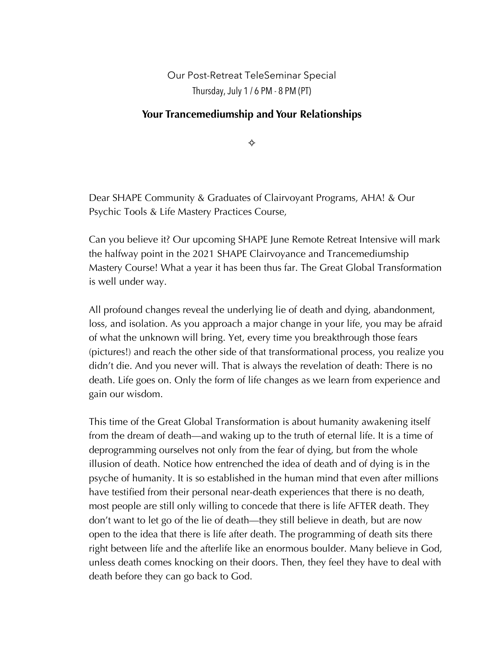Our Post-Retreat TeleSeminar Special Thursday, July 1 / 6 PM - 8 PM (PT)

### **Your Trancemediumship and Your Relationships**

✧

Dear SHAPE Community & Graduates of Clairvoyant Programs, AHA! & Our Psychic Tools & Life Mastery Practices Course,

Can you believe it? Our upcoming SHAPE June Remote Retreat Intensive will mark the halfway point in the 2021 SHAPE Clairvoyance and Trancemediumship Mastery Course! What a year it has been thus far. The Great Global Transformation is well under way.

All profound changes reveal the underlying lie of death and dying, abandonment, loss, and isolation. As you approach a major change in your life, you may be afraid of what the unknown will bring. Yet, every time you breakthrough those fears (pictures!) and reach the other side of that transformational process, you realize you didn't die. And you never will. That is always the revelation of death: There is no death. Life goes on. Only the form of life changes as we learn from experience and gain our wisdom.

This time of the Great Global Transformation is about humanity awakening itself from the dream of death—and waking up to the truth of eternal life. It is a time of deprogramming ourselves not only from the fear of dying, but from the whole illusion of death. Notice how entrenched the idea of death and of dying is in the psyche of humanity. It is so established in the human mind that even after millions have testified from their personal near-death experiences that there is no death, most people are still only willing to concede that there is life AFTER death. They don't want to let go of the lie of death—they still believe in death, but are now open to the idea that there is life after death. The programming of death sits there right between life and the afterlife like an enormous boulder. Many believe in God, unless death comes knocking on their doors. Then, they feel they have to deal with death before they can go back to God.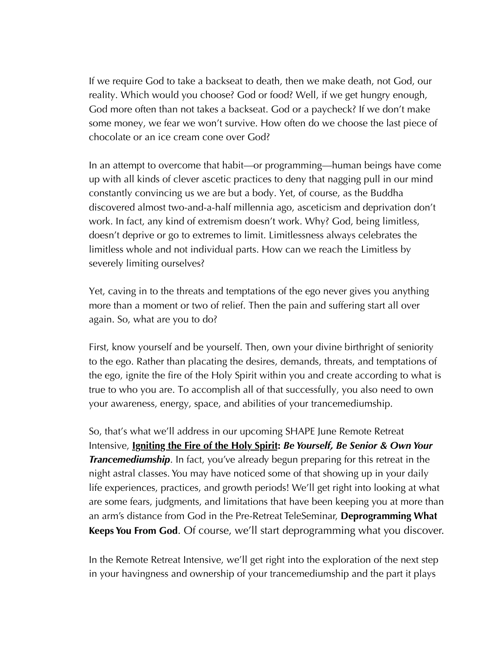If we require God to take a backseat to death, then we make death, not God, our reality. Which would you choose? God or food? Well, if we get hungry enough, God more often than not takes a backseat. God or a paycheck? If we don't make some money, we fear we won't survive. How often do we choose the last piece of chocolate or an ice cream cone over God?

In an attempt to overcome that habit—or programming—human beings have come up with all kinds of clever ascetic practices to deny that nagging pull in our mind constantly convincing us we are but a body. Yet, of course, as the Buddha discovered almost two-and-a-half millennia ago, asceticism and deprivation don't work. In fact, any kind of extremism doesn't work. Why? God, being limitless, doesn't deprive or go to extremes to limit. Limitlessness always celebrates the limitless whole and not individual parts. How can we reach the Limitless by severely limiting ourselves?

Yet, caving in to the threats and temptations of the ego never gives you anything more than a moment or two of relief. Then the pain and suffering start all over again. So, what are you to do?

First, know yourself and be yourself. Then, own your divine birthright of seniority to the ego. Rather than placating the desires, demands, threats, and temptations of the ego, ignite the fire of the Holy Spirit within you and create according to what is true to who you are. To accomplish all of that successfully, you also need to own your awareness, energy, space, and abilities of your trancemediumship.

So, that's what we'll address in our upcoming SHAPE June Remote Retreat Intensive, **Igniting the Fire of the Holy Spirit:** *Be Yourself, Be Senior & Own Your Trancemediumship.* In fact, you've already begun preparing for this retreat in the night astral classes. You may have noticed some of that showing up in your daily life experiences, practices, and growth periods! We'll get right into looking at what are some fears, judgments, and limitations that have been keeping you at more than an arm's distance from God in the Pre-Retreat TeleSeminar, **Deprogramming What Keeps You From God**. Of course, we'll start deprogramming what you discover.

In the Remote Retreat Intensive, we'll get right into the exploration of the next step in your havingness and ownership of your trancemediumship and the part it plays